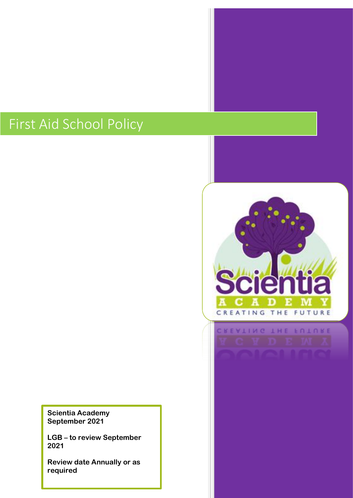# First Aid School Policy

**Scientia Academy September 2021**

**LGB – to review September 2021**

**Review date Annually or as required**

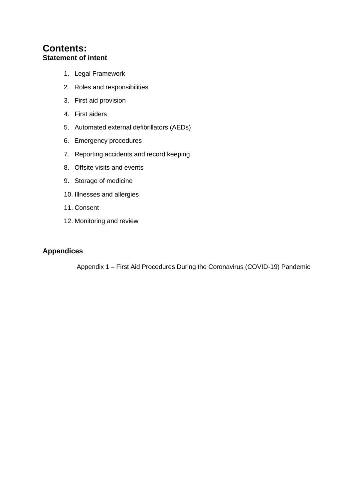# **Contents: Statement of intent**

- 1. Legal Framework
- 2. Roles and responsibilities
- 3. First aid provision
- 4. First aiders
- 5. Automated external defibrillators (AEDs)
- 6. Emergency procedures
- 7. Reporting accidents and record keeping
- 8. Offsite visits and events
- 9. Storage of medicine
- 10. Illnesses and allergies
- 11. Consent
- 12. Monitoring and review

## **Appendices**

Appendix 1 – First Aid Procedures During the Coronavirus (COVID-19) Pandemic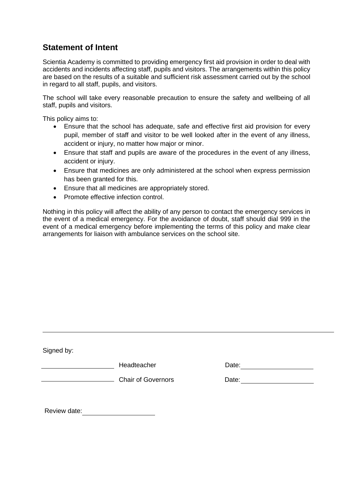# **Statement of Intent**

Scientia Academy is committed to providing emergency first aid provision in order to deal with accidents and incidents affecting staff, pupils and visitors. The arrangements within this policy are based on the results of a suitable and sufficient risk assessment carried out by the school in regard to all staff, pupils, and visitors.

The school will take every reasonable precaution to ensure the safety and wellbeing of all staff, pupils and visitors.

This policy aims to:

- Ensure that the school has adequate, safe and effective first aid provision for every pupil, member of staff and visitor to be well looked after in the event of any illness, accident or injury, no matter how major or minor.
- Ensure that staff and pupils are aware of the procedures in the event of any illness, accident or injury.
- Ensure that medicines are only administered at the school when express permission has been granted for this.
- Ensure that all medicines are appropriately stored.
- Promote effective infection control.

Nothing in this policy will affect the ability of any person to contact the emergency services in the event of a medical emergency. For the avoidance of doubt, staff should dial 999 in the event of a medical emergency before implementing the terms of this policy and make clear arrangements for liaison with ambulance services on the school site.

| Signed by:   |                           |       |
|--------------|---------------------------|-------|
|              | Headteacher               | Date: |
|              | <b>Chair of Governors</b> | Date: |
|              |                           |       |
| Review date: |                           |       |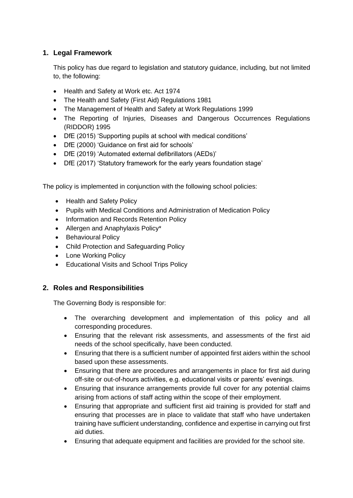## **1. Legal Framework**

This policy has due regard to legislation and statutory guidance, including, but not limited to, the following:

- Health and Safety at Work etc. Act 1974
- The Health and Safety (First Aid) Regulations 1981
- The Management of Health and Safety at Work Regulations 1999
- The Reporting of Injuries, Diseases and Dangerous Occurrences Regulations (RIDDOR) 1995
- DfE (2015) 'Supporting pupils at school with medical conditions'
- DfE (2000) 'Guidance on first aid for schools'
- DfE (2019) 'Automated external defibrillators (AEDs)'
- DfE (2017) 'Statutory framework for the early years foundation stage'

The policy is implemented in conjunction with the following school policies:

- Health and Safety Policy
- Pupils with Medical Conditions and Administration of Medication Policy
- Information and Records Retention Policy
- Allergen and Anaphylaxis Policy\*
- Behavioural Policy
- Child Protection and Safeguarding Policy
- Lone Working Policy
- Educational Visits and School Trips Policy

#### **2. Roles and Responsibilities**

The Governing Body is responsible for:

- The overarching development and implementation of this policy and all corresponding procedures.
- Ensuring that the relevant risk assessments, and assessments of the first aid needs of the school specifically, have been conducted.
- Ensuring that there is a sufficient number of appointed first aiders within the school based upon these assessments.
- Ensuring that there are procedures and arrangements in place for first aid during off-site or out-of-hours activities, e.g. educational visits or parents' evenings.
- Ensuring that insurance arrangements provide full cover for any potential claims arising from actions of staff acting within the scope of their employment.
- Ensuring that appropriate and sufficient first aid training is provided for staff and ensuring that processes are in place to validate that staff who have undertaken training have sufficient understanding, confidence and expertise in carrying out first aid duties.
- Ensuring that adequate equipment and facilities are provided for the school site.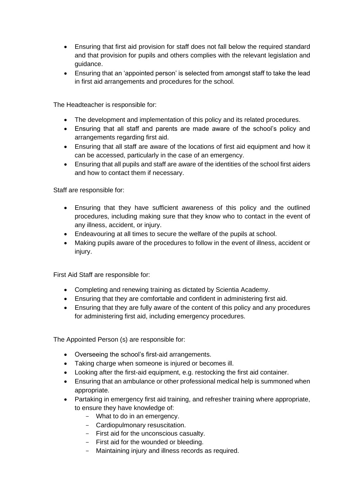- Ensuring that first aid provision for staff does not fall below the required standard and that provision for pupils and others complies with the relevant legislation and guidance.
- Ensuring that an 'appointed person' is selected from amongst staff to take the lead in first aid arrangements and procedures for the school.

The Headteacher is responsible for:

- The development and implementation of this policy and its related procedures.
- Ensuring that all staff and parents are made aware of the school's policy and arrangements regarding first aid.
- Ensuring that all staff are aware of the locations of first aid equipment and how it can be accessed, particularly in the case of an emergency.
- Ensuring that all pupils and staff are aware of the identities of the school first aiders and how to contact them if necessary.

Staff are responsible for:

- Ensuring that they have sufficient awareness of this policy and the outlined procedures, including making sure that they know who to contact in the event of any illness, accident, or injury.
- Endeavouring at all times to secure the welfare of the pupils at school.
- Making pupils aware of the procedures to follow in the event of illness, accident or injury.

First Aid Staff are responsible for:

- Completing and renewing training as dictated by Scientia Academy.
- Ensuring that they are comfortable and confident in administering first aid.
- Ensuring that they are fully aware of the content of this policy and any procedures for administering first aid, including emergency procedures.

The Appointed Person (s) are responsible for:

- Overseeing the school's first-aid arrangements.
- Taking charge when someone is injured or becomes ill.
- Looking after the first-aid equipment, e.g. restocking the first aid container.
- Ensuring that an ambulance or other professional medical help is summoned when appropriate.
- Partaking in emergency first aid training, and refresher training where appropriate, to ensure they have knowledge of:
	- What to do in an emergency.
	- Cardiopulmonary resuscitation.
	- First aid for the unconscious casualty.
	- First aid for the wounded or bleeding.
	- Maintaining injury and illness records as required.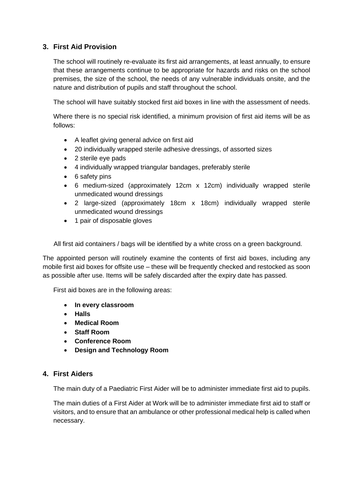## **3. First Aid Provision**

The school will routinely re-evaluate its first aid arrangements, at least annually, to ensure that these arrangements continue to be appropriate for hazards and risks on the school premises, the size of the school, the needs of any vulnerable individuals onsite, and the nature and distribution of pupils and staff throughout the school.

The school will have suitably stocked first aid boxes in line with the assessment of needs.

Where there is no special risk identified, a minimum provision of first aid items will be as follows:

- A leaflet giving general advice on first aid
- 20 individually wrapped sterile adhesive dressings, of assorted sizes
- 2 sterile eye pads
- 4 individually wrapped triangular bandages, preferably sterile
- 6 safety pins
- 6 medium-sized (approximately 12cm x 12cm) individually wrapped sterile unmedicated wound dressings
- 2 large-sized (approximately 18cm x 18cm) individually wrapped sterile unmedicated wound dressings
- 1 pair of disposable gloves

All first aid containers / bags will be identified by a white cross on a green background.

The appointed person will routinely examine the contents of first aid boxes, including any mobile first aid boxes for offsite use – these will be frequently checked and restocked as soon as possible after use. Items will be safely discarded after the expiry date has passed.

First aid boxes are in the following areas:

- **In every classroom**
- **Halls**
- **Medical Room**
- **Staff Room**
- **Conference Room**
- **Design and Technology Room**

#### **4. First Aiders**

The main duty of a Paediatric First Aider will be to administer immediate first aid to pupils.

The main duties of a First Aider at Work will be to administer immediate first aid to staff or visitors, and to ensure that an ambulance or other professional medical help is called when necessary.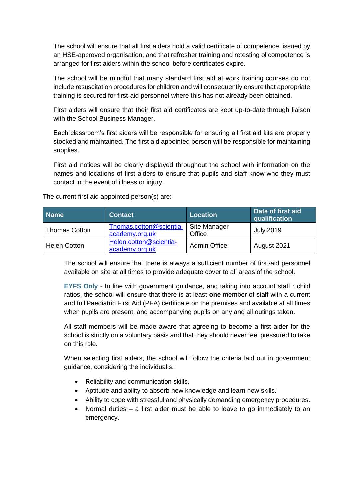The school will ensure that all first aiders hold a valid certificate of competence, issued by an HSE-approved organisation, and that refresher training and retesting of competence is arranged for first aiders within the school before certificates expire.

The school will be mindful that many standard first aid at work training courses do not include resuscitation procedures for children and will consequently ensure that appropriate training is secured for first-aid personnel where this has not already been obtained.

First aiders will ensure that their first aid certificates are kept up-to-date through liaison with the School Business Manager.

Each classroom's first aiders will be responsible for ensuring all first aid kits are properly stocked and maintained. The first aid appointed person will be responsible for maintaining supplies.

First aid notices will be clearly displayed throughout the school with information on the names and locations of first aiders to ensure that pupils and staff know who they must contact in the event of illness or injury.

| <b>Name</b>          | <b>Contact</b>                            | <b>Location</b>        | Date of first aid<br>qualification |
|----------------------|-------------------------------------------|------------------------|------------------------------------|
| <b>Thomas Cotton</b> | Thomas.cotton@scientia-<br>academy.org.uk | Site Manager<br>Office | <b>July 2019</b>                   |
| <b>Helen Cotton</b>  | Helen.cotton@scientia-<br>academy.org.uk  | <b>Admin Office</b>    | August 2021                        |

The current first aid appointed person(s) are:

The school will ensure that there is always a sufficient number of first-aid personnel available on site at all times to provide adequate cover to all areas of the school.

**EYFS Only** - In line with government guidance, and taking into account staff : child ratios, the school will ensure that there is at least **one** member of staff with a current and full Paediatric First Aid (PFA) certificate on the premises and available at all times when pupils are present, and accompanying pupils on any and all outings taken.

All staff members will be made aware that agreeing to become a first aider for the school is strictly on a voluntary basis and that they should never feel pressured to take on this role.

When selecting first aiders, the school will follow the criteria laid out in government guidance, considering the individual's:

- Reliability and communication skills.
- Aptitude and ability to absorb new knowledge and learn new skills.
- Ability to cope with stressful and physically demanding emergency procedures.
- Normal duties a first aider must be able to leave to go immediately to an emergency.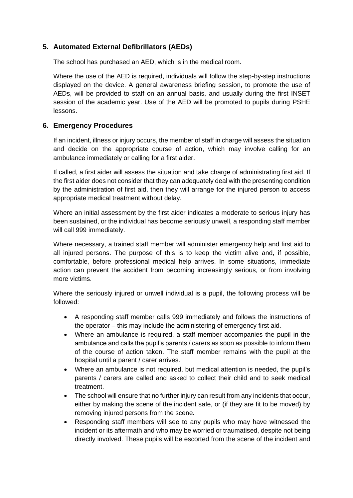## **5. Automated External Defibrillators (AEDs)**

The school has purchased an AED, which is in the medical room.

Where the use of the AED is required, individuals will follow the step-by-step instructions displayed on the device. A general awareness briefing session, to promote the use of AEDs, will be provided to staff on an annual basis, and usually during the first INSET session of the academic year. Use of the AED will be promoted to pupils during PSHE lessons.

#### **6. Emergency Procedures**

If an incident, illness or injury occurs, the member of staff in charge will assess the situation and decide on the appropriate course of action, which may involve calling for an ambulance immediately or calling for a first aider.

If called, a first aider will assess the situation and take charge of administrating first aid. If the first aider does not consider that they can adequately deal with the presenting condition by the administration of first aid, then they will arrange for the injured person to access appropriate medical treatment without delay.

Where an initial assessment by the first aider indicates a moderate to serious injury has been sustained, or the individual has become seriously unwell, a responding staff member will call 999 immediately.

Where necessary, a trained staff member will administer emergency help and first aid to all injured persons. The purpose of this is to keep the victim alive and, if possible, comfortable, before professional medical help arrives. In some situations, immediate action can prevent the accident from becoming increasingly serious, or from involving more victims.

Where the seriously injured or unwell individual is a pupil, the following process will be followed:

- A responding staff member calls 999 immediately and follows the instructions of the operator – this may include the administering of emergency first aid.
- Where an ambulance is required, a staff member accompanies the pupil in the ambulance and calls the pupil's parents / carers as soon as possible to inform them of the course of action taken. The staff member remains with the pupil at the hospital until a parent / carer arrives.
- Where an ambulance is not required, but medical attention is needed, the pupil's parents / carers are called and asked to collect their child and to seek medical treatment.
- The school will ensure that no further injury can result from any incidents that occur, either by making the scene of the incident safe, or (if they are fit to be moved) by removing injured persons from the scene.
- Responding staff members will see to any pupils who may have witnessed the incident or its aftermath and who may be worried or traumatised, despite not being directly involved. These pupils will be escorted from the scene of the incident and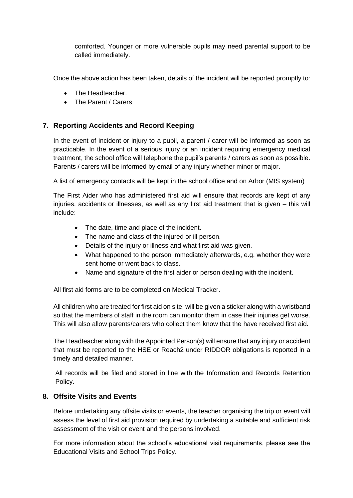comforted. Younger or more vulnerable pupils may need parental support to be called immediately.

Once the above action has been taken, details of the incident will be reported promptly to:

- The Headteacher.
- The Parent / Carers

## **7. Reporting Accidents and Record Keeping**

In the event of incident or injury to a pupil, a parent / carer will be informed as soon as practicable. In the event of a serious injury or an incident requiring emergency medical treatment, the school office will telephone the pupil's parents / carers as soon as possible. Parents / carers will be informed by email of any injury whether minor or major.

A list of emergency contacts will be kept in the school office and on Arbor (MIS system)

The First Aider who has administered first aid will ensure that records are kept of any injuries, accidents or illnesses, as well as any first aid treatment that is given – this will include:

- The date, time and place of the incident.
- The name and class of the injured or ill person.
- Details of the injury or illness and what first aid was given.
- What happened to the person immediately afterwards, e.g. whether they were sent home or went back to class.
- Name and signature of the first aider or person dealing with the incident.

All first aid forms are to be completed on Medical Tracker.

All children who are treated for first aid on site, will be given a sticker along with a wristband so that the members of staff in the room can monitor them in case their injuries get worse. This will also allow parents/carers who collect them know that the have received first aid.

The Headteacher along with the Appointed Person(s) will ensure that any injury or accident that must be reported to the HSE or Reach2 under RIDDOR obligations is reported in a timely and detailed manner.

All records will be filed and stored in line with the Information and Records Retention Policy.

#### **8. Offsite Visits and Events**

Before undertaking any offsite visits or events, the teacher organising the trip or event will assess the level of first aid provision required by undertaking a suitable and sufficient risk assessment of the visit or event and the persons involved.

For more information about the school's educational visit requirements, please see the Educational Visits and School Trips Policy.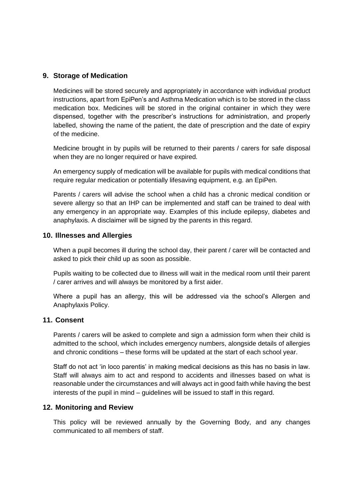#### **9. Storage of Medication**

Medicines will be stored securely and appropriately in accordance with individual product instructions, apart from EpiPen's and Asthma Medication which is to be stored in the class medication box. Medicines will be stored in the original container in which they were dispensed, together with the prescriber's instructions for administration, and properly labelled, showing the name of the patient, the date of prescription and the date of expiry of the medicine.

Medicine brought in by pupils will be returned to their parents / carers for safe disposal when they are no longer required or have expired.

An emergency supply of medication will be available for pupils with medical conditions that require regular medication or potentially lifesaving equipment, e.g. an EpiPen.

Parents / carers will advise the school when a child has a chronic medical condition or severe allergy so that an IHP can be implemented and staff can be trained to deal with any emergency in an appropriate way. Examples of this include epilepsy, diabetes and anaphylaxis. A disclaimer will be signed by the parents in this regard.

#### **10. Illnesses and Allergies**

When a pupil becomes ill during the school day, their parent / carer will be contacted and asked to pick their child up as soon as possible.

Pupils waiting to be collected due to illness will wait in the medical room until their parent / carer arrives and will always be monitored by a first aider.

Where a pupil has an allergy, this will be addressed via the school's Allergen and Anaphylaxis Policy.

#### **11. Consent**

Parents / carers will be asked to complete and sign a admission form when their child is admitted to the school, which includes emergency numbers, alongside details of allergies and chronic conditions – these forms will be updated at the start of each school year.

Staff do not act 'in loco parentis' in making medical decisions as this has no basis in law. Staff will always aim to act and respond to accidents and illnesses based on what is reasonable under the circumstances and will always act in good faith while having the best interests of the pupil in mind – guidelines will be issued to staff in this regard.

#### **12. Monitoring and Review**

This policy will be reviewed annually by the Governing Body, and any changes communicated to all members of staff.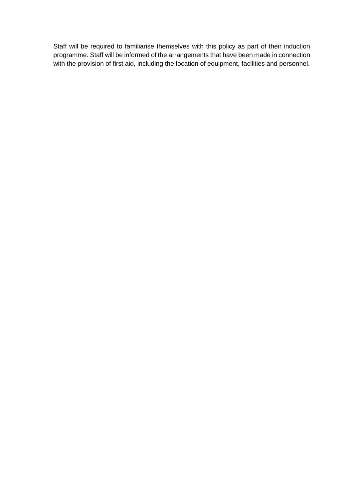Staff will be required to familiarise themselves with this policy as part of their induction programme. Staff will be informed of the arrangements that have been made in connection with the provision of first aid, including the location of equipment, facilities and personnel.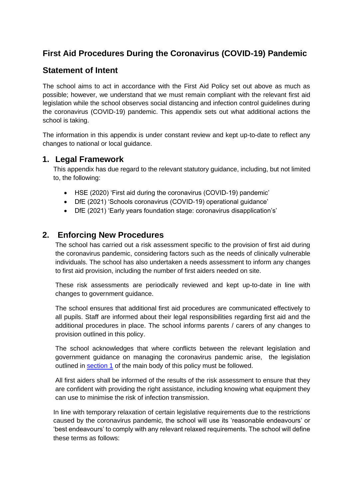# **First Aid Procedures During the Coronavirus (COVID-19) Pandemic**

# **Statement of Intent**

The school aims to act in accordance with the First Aid Policy set out above as much as possible; however, we understand that we must remain compliant with the relevant first aid legislation while the school observes social distancing and infection control guidelines during the coronavirus (COVID-19) pandemic. This appendix sets out what additional actions the school is taking.

The information in this appendix is under constant review and kept up-to-date to reflect any changes to national or local guidance.

## **1. Legal Framework**

This appendix has due regard to the relevant statutory guidance, including, but not limited to, the following:

- HSE (2020) 'First aid during the coronavirus (COVID-19) pandemic'
- DfE (2021) 'Schools coronavirus (COVID-19) operational guidance'
- DfE (2021) 'Early years foundation stage: coronavirus disapplication's'

# **2. Enforcing New Procedures**

The school has carried out a risk assessment specific to the provision of first aid during the coronavirus pandemic, considering factors such as the needs of clinically vulnerable individuals. The school has also undertaken a needs assessment to inform any changes to first aid provision, including the number of first aiders needed on site.

These risk assessments are periodically reviewed and kept up-to-date in line with changes to government guidance.

The school ensures that additional first aid procedures are communicated effectively to all pupils. Staff are informed about their legal responsibilities regarding first aid and the additional procedures in place. The school informs parents / carers of any changes to provision outlined in this policy.

The school acknowledges that where conflicts between the relevant legislation and government guidance on managing the coronavirus pandemic arise, the legislation outlined in [section 1](https://reach2-my.sharepoint.com/personal/helen_cotton_scientia-academy_org_uk/Documents/POLICIES%20TO%20DO/First_Aid%20Policy_template.docx#_Legal_framework_1) of the main body of this policy must be followed.

All first aiders shall be informed of the results of the risk assessment to ensure that they are confident with providing the right assistance, including knowing what equipment they can use to minimise the risk of infection transmission.

In line with temporary relaxation of certain legislative requirements due to the restrictions caused by the coronavirus pandemic, the school will use its 'reasonable endeavours' or 'best endeavours' to comply with any relevant relaxed requirements. The school will define these terms as follows: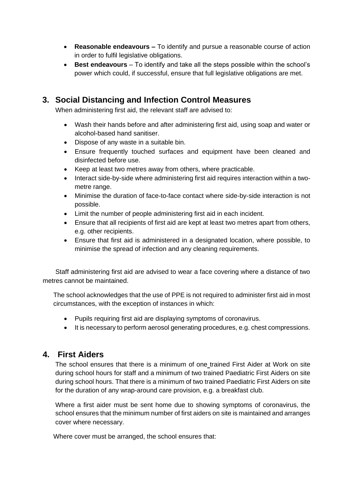- **Reasonable endeavours –** To identify and pursue a reasonable course of action in order to fulfil legislative obligations.
- **Best endeavours** To identify and take all the steps possible within the school's power which could, if successful, ensure that full legislative obligations are met.

# **3. Social Distancing and Infection Control Measures**

When administering first aid, the relevant staff are advised to:

- Wash their hands before and after administering first aid, using soap and water or alcohol-based hand sanitiser.
- Dispose of any waste in a suitable bin.
- Ensure frequently touched surfaces and equipment have been cleaned and disinfected before use.
- Keep at least two metres away from others, where practicable.
- Interact side-by-side where administering first aid requires interaction within a twometre range.
- Minimise the duration of face-to-face contact where side-by-side interaction is not possible.
- Limit the number of people administering first aid in each incident.
- Ensure that all recipients of first aid are kept at least two metres apart from others, e.g. other recipients.
- Ensure that first aid is administered in a designated location, where possible, to minimise the spread of infection and any cleaning requirements.

Staff administering first aid are advised to wear a face covering where a distance of two metres cannot be maintained.

The school acknowledges that the use of PPE is not required to administer first aid in most circumstances, with the exception of instances in which:

- Pupils requiring first aid are displaying symptoms of coronavirus.
- It is necessary to perform aerosol generating procedures, e.g. chest compressions.

## **4. First Aiders**

The school ensures that there is a minimum of one trained First Aider at Work on site during school hours for staff and a minimum of two trained Paediatric First Aiders on site during school hours. That there is a minimum of two trained Paediatric First Aiders on site for the duration of any wrap-around care provision, e.g. a breakfast club.

Where a first aider must be sent home due to showing symptoms of coronavirus, the school ensures that the minimum number of first aiders on site is maintained and arranges cover where necessary.

Where cover must be arranged, the school ensures that: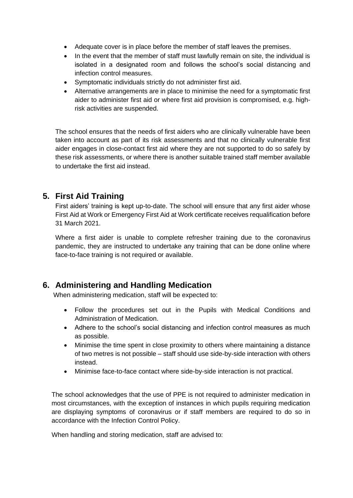- Adequate cover is in place before the member of staff leaves the premises.
- In the event that the member of staff must lawfully remain on site, the individual is isolated in a designated room and follows the school's social distancing and infection control measures.
- Symptomatic individuals strictly do not administer first aid.
- Alternative arrangements are in place to minimise the need for a symptomatic first aider to administer first aid or where first aid provision is compromised, e.g. highrisk activities are suspended.

The school ensures that the needs of first aiders who are clinically vulnerable have been taken into account as part of its risk assessments and that no clinically vulnerable first aider engages in close-contact first aid where they are not supported to do so safely by these risk assessments, or where there is another suitable trained staff member available to undertake the first aid instead.

# **5. First Aid Training**

First aiders' training is kept up-to-date. The school will ensure that any first aider whose First Aid at Work or Emergency First Aid at Work certificate receives requalification before 31 March 2021.

Where a first aider is unable to complete refresher training due to the coronavirus pandemic, they are instructed to undertake any training that can be done online where face-to-face training is not required or available.

# **6. Administering and Handling Medication**

When administering medication, staff will be expected to:

- Follow the procedures set out in the Pupils with Medical Conditions and Administration of Medication.
- Adhere to the school's social distancing and infection control measures as much as possible.
- Minimise the time spent in close proximity to others where maintaining a distance of two metres is not possible – staff should use side-by-side interaction with others instead.
- Minimise face-to-face contact where side-by-side interaction is not practical.

The school acknowledges that the use of PPE is not required to administer medication in most circumstances, with the exception of instances in which pupils requiring medication are displaying symptoms of coronavirus or if staff members are required to do so in accordance with the Infection Control Policy.

When handling and storing medication, staff are advised to: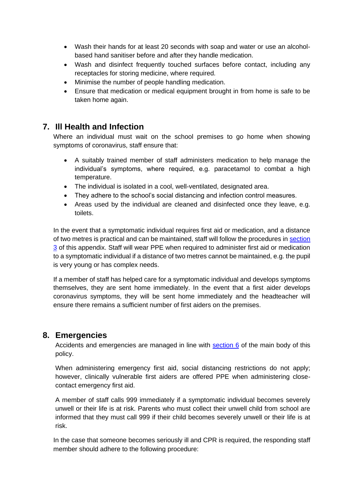- Wash their hands for at least 20 seconds with soap and water or use an alcoholbased hand sanitiser before and after they handle medication.
- Wash and disinfect frequently touched surfaces before contact, including any receptacles for storing medicine, where required.
- Minimise the number of people handling medication.
- Ensure that medication or medical equipment brought in from home is safe to be taken home again.

## **7. Ill Health and Infection**

Where an individual must wait on the school premises to go home when showing symptoms of coronavirus, staff ensure that:

- A suitably trained member of staff administers medication to help manage the individual's symptoms, where required, e.g. paracetamol to combat a high temperature.
- The individual is isolated in a cool, well-ventilated, designated area.
- They adhere to the school's social distancing and infection control measures.
- Areas used by the individual are cleaned and disinfected once they leave, e.g. toilets.

In the event that a symptomatic individual requires first aid or medication, and a distance of two metres is practical and can be maintained, staff will follow the procedures in [section](https://reach2-my.sharepoint.com/personal/helen_cotton_scientia-academy_org_uk/Documents/POLICIES%20TO%20DO/First_Aid%20Policy_template.docx#Socialdistancing)  [3](https://reach2-my.sharepoint.com/personal/helen_cotton_scientia-academy_org_uk/Documents/POLICIES%20TO%20DO/First_Aid%20Policy_template.docx#Socialdistancing) of this appendix. Staff will wear PPE when required to administer first aid or medication to a symptomatic individual if a distance of two metres cannot be maintained, e.g. the pupil is very young or has complex needs.

If a member of staff has helped care for a symptomatic individual and develops symptoms themselves, they are sent home immediately. In the event that a first aider develops coronavirus symptoms, they will be sent home immediately and the headteacher will ensure there remains a sufficient number of first aiders on the premises.

## **8. Emergencies**

Accidents and emergencies are managed in line with [section 6](https://reach2-my.sharepoint.com/personal/helen_cotton_scientia-academy_org_uk/Documents/POLICIES%20TO%20DO/First_Aid%20Policy_template.docx#_Emergency_procedures_1) of the main body of this policy.

When administering emergency first aid, social distancing restrictions do not apply; however, clinically vulnerable first aiders are offered PPE when administering closecontact emergency first aid.

A member of staff calls 999 immediately if a symptomatic individual becomes severely unwell or their life is at risk. Parents who must collect their unwell child from school are informed that they must call 999 if their child becomes severely unwell or their life is at risk.

In the case that someone becomes seriously ill and CPR is required, the responding staff member should adhere to the following procedure: